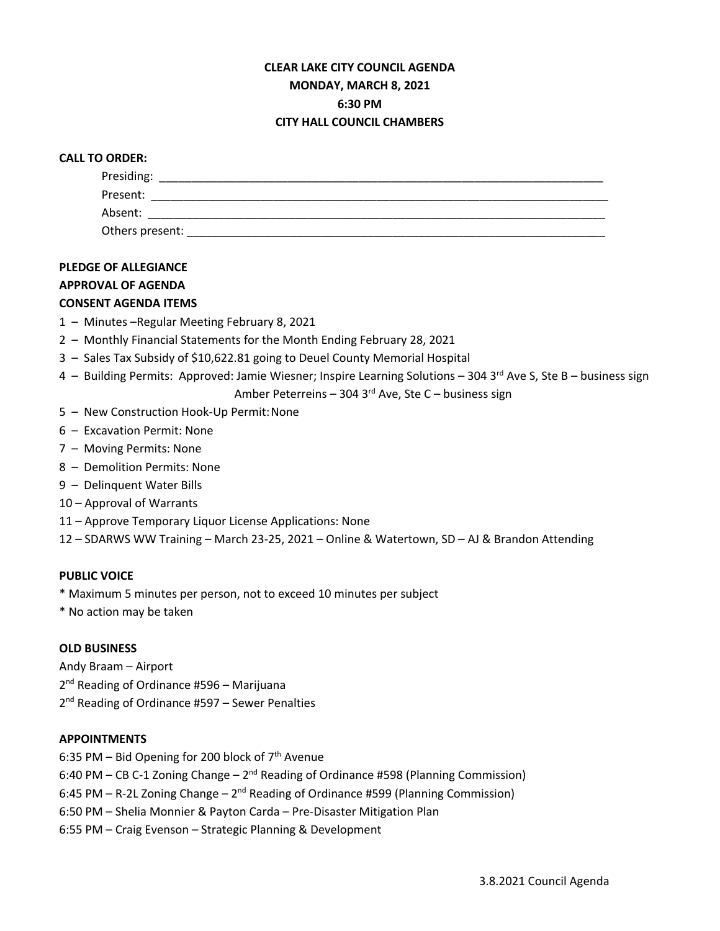## **CLEAR LAKE CITY COUNCIL AGENDA MONDAY, MARCH 8, 2021 6:30 PM CITY HALL COUNCIL CHAMBERS**

#### **CALL TO ORDER:**

| Presiding:      |  |  |  |
|-----------------|--|--|--|
| Present:        |  |  |  |
| Absent:         |  |  |  |
| Others present: |  |  |  |

## **PLEDGE OF ALLEGIANCE**

#### **APPROVAL OF AGENDA**

## **CONSENT AGENDA ITEMS**

- 1 Minutes –Regular Meeting February 8, 2021
- 2 Monthly Financial Statements for the Month Ending February 28, 2021
- 3 Sales Tax Subsidy of \$10,622.81 going to Deuel County Memorial Hospital
- 4 Building Permits: Approved: Jamie Wiesner; Inspire Learning Solutions 304 3<sup>rd</sup> Ave S, Ste B business sign

Amber Peterreins – 304 3 $rd$  Ave, Ste C – business sign

- 5 New Construction Hook-Up Permit:None
- 6 Excavation Permit: None
- 7 Moving Permits: None
- 8 Demolition Permits: None
- 9 Delinquent Water Bills
- 10 Approval of Warrants
- 11 Approve Temporary Liquor License Applications: None
- 12 SDARWS WW Training March 23-25, 2021 Online & Watertown, SD AJ & Brandon Attending

## **PUBLIC VOICE**

\* Maximum 5 minutes per person, not to exceed 10 minutes per subject

\* No action may be taken

#### **OLD BUSINESS**

Andy Braam – Airport

2<sup>nd</sup> Reading of Ordinance #596 – Marijuana

2<sup>nd</sup> Reading of Ordinance #597 – Sewer Penalties

## **APPOINTMENTS**

- 6:35 PM Bid Opening for 200 block of  $7<sup>th</sup>$  Avenue
- 6:40 PM CB C-1 Zoning Change  $2^{nd}$  Reading of Ordinance #598 (Planning Commission)
- 6:45 PM R-2L Zoning Change  $2^{nd}$  Reading of Ordinance #599 (Planning Commission)
- 6:50 PM Shelia Monnier & Payton Carda Pre-Disaster Mitigation Plan
- 6:55 PM Craig Evenson Strategic Planning & Development